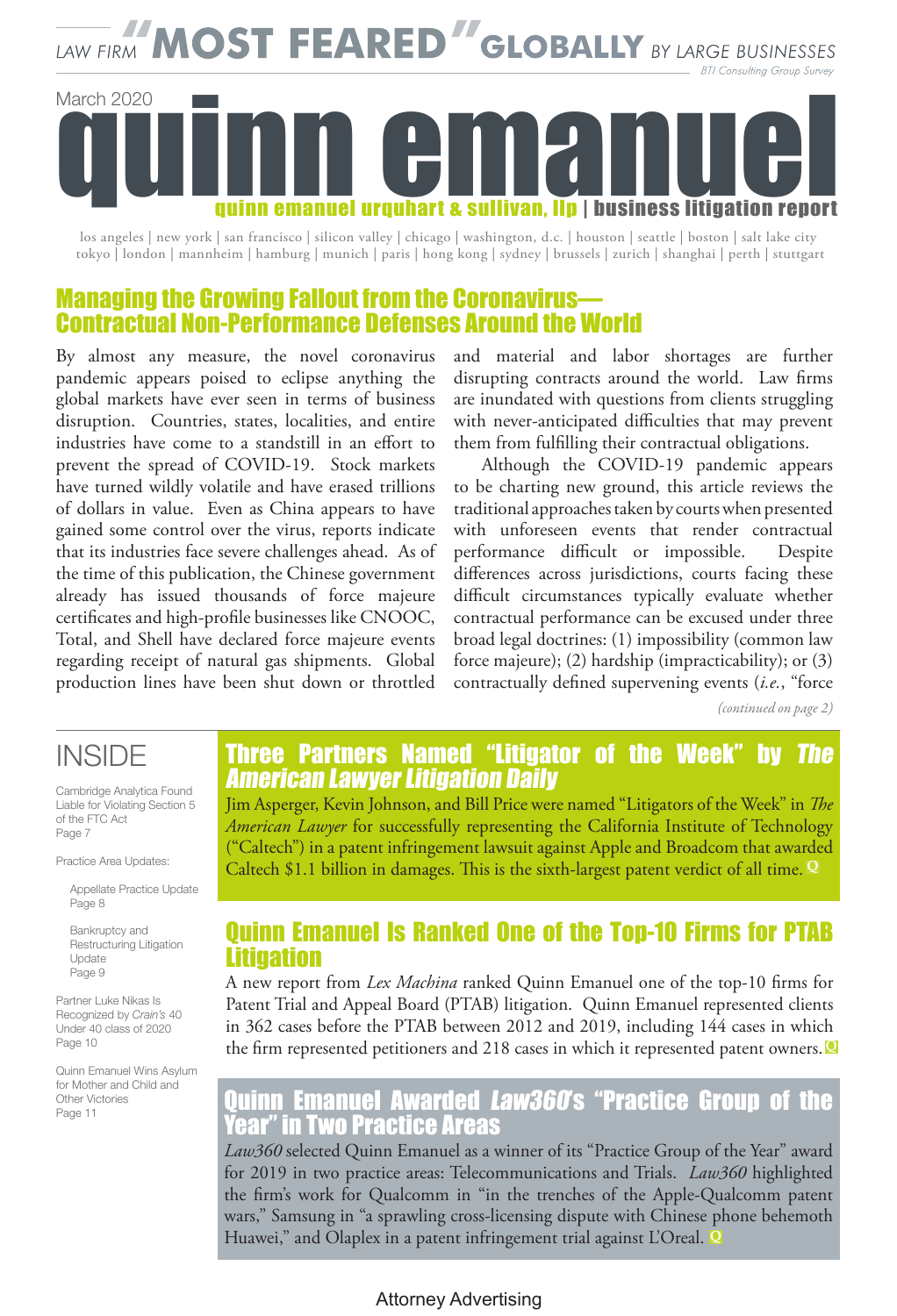# LAW FIRM MOST FEARED GLOBALLY BY LARGE BUSINESSES **BTI Consulting Group Survey** March 2020 quinn emanuel urquhart & sullivan. Ilp | business litigation report

los angeles | new york | san francisco | silicon valley | chicago | washington, d.c. | houston | seattle | boston | salt lake city tokyo | london | mannheim | hamburg | munich | paris | hong kong | sydney | brussels | zurich | shanghai | perth | stuttgart

### Managing the Growing Fallout from the Coronavirus— Contractual Non-Performance Defenses Around the World

By almost any measure, the novel coronavirus pandemic appears poised to eclipse anything the global markets have ever seen in terms of business disruption. Countries, states, localities, and entire industries have come to a standstill in an effort to prevent the spread of COVID-19. Stock markets have turned wildly volatile and have erased trillions of dollars in value. Even as China appears to have gained some control over the virus, reports indicate that its industries face severe challenges ahead. As of the time of this publication, the Chinese government already has issued thousands of force majeure certificates and high-profile businesses like CNOOC, Total, and Shell have declared force majeure events regarding receipt of natural gas shipments. Global production lines have been shut down or throttled

and material and labor shortages are further disrupting contracts around the world. Law firms are inundated with questions from clients struggling with never-anticipated difficulties that may prevent them from fulfilling their contractual obligations.

Although the COVID-19 pandemic appears to be charting new ground, this article reviews the traditional approaches taken by courts when presented with unforeseen events that render contractual performance difficult or impossible. Despite differences across jurisdictions, courts facing these difficult circumstances typically evaluate whether contractual performance can be excused under three broad legal doctrines: (1) impossibility (common law force majeure); (2) hardship (impracticability); or (3) contractually defined supervening events (*i.e.*, "force

*(continued on page 2)*

### INSIDE

Cambridge Analytica Found Liable for Violating Section 5 of the FTC Act Page 7

Practice Area Updates:

Appellate Practice Update Page 8

Bankruptcy and Restructuring Litigation Update Page 9

Partner Luke Nikas Is Recognized by *Crain's* 40 Under 40 class of 2020 Page 10

Quinn Emanuel Wins Asylum for Mother and Child and Other Victories Page 11

### Three Partners Named "Litigator of the Week" by The American Lawyer Litigation Daily

Jim Asperger, Kevin Johnson, and Bill Price were named "Litigators of the Week" in *The American Lawyer* for successfully representing the California Institute of Technology ("Caltech") in a patent infringement lawsuit against Apple and Broadcom that awarded Caltech \$1.1 billion in damages. This is the sixth-largest patent verdict of all time. **<sup>Q</sup>**

### Quinn Emanuel Is Ranked One of the Top-10 Firms for PTAB Litigation

A new report from *Lex Machina* ranked Quinn Emanuel one of the top-10 firms for Patent Trial and Appeal Board (PTAB) litigation. Quinn Emanuel represented clients in 362 cases before the PTAB between 2012 and 2019, including 144 cases in which the firm represented petitioners and 218 cases in which it represented patent owners. **Q**

### Quinn Emanuel Awarded Law360's "Practice Group of the **In Two Practice Areas**

*Law360* selected Quinn Emanuel as a winner of its "Practice Group of the Year" award for 2019 in two practice areas: Telecommunications and Trials. *Law360* highlighted the firm's work for Qualcomm in "in the trenches of the Apple-Qualcomm patent wars," Samsung in "a sprawling cross-licensing dispute with Chinese phone behemoth Huawei," and Olaplex in a patent infringement trial against L'Oreal. **Q**

#### Attorney Advertising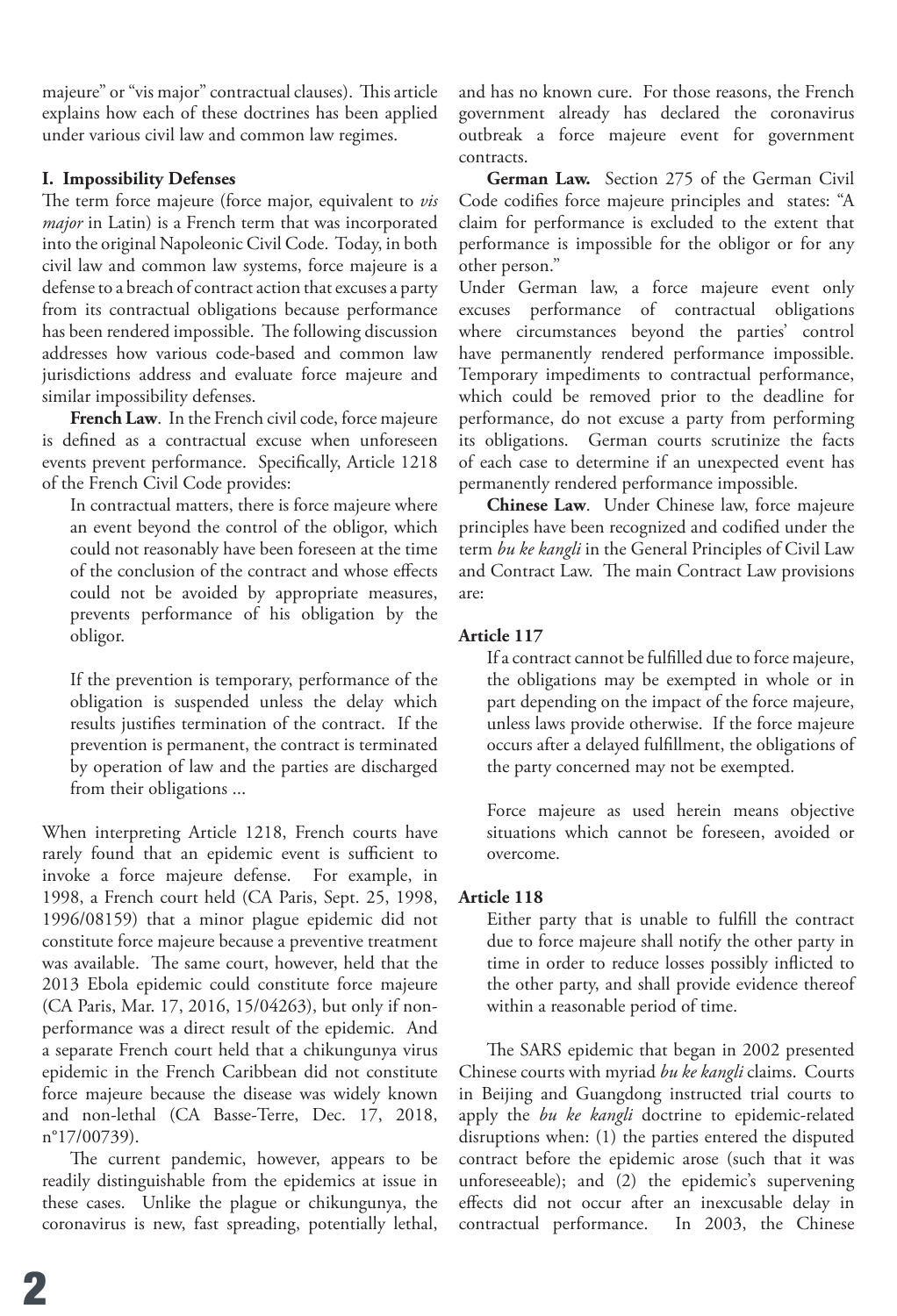majeure" or "vis major" contractual clauses). This article explains how each of these doctrines has been applied under various civil law and common law regimes.

#### **I. Impossibility Defenses**

The term force majeure (force major, equivalent to *vis major* in Latin) is a French term that was incorporated into the original Napoleonic Civil Code. Today, in both civil law and common law systems, force majeure is a defense to a breach of contract action that excuses a party from its contractual obligations because performance has been rendered impossible. The following discussion addresses how various code-based and common law jurisdictions address and evaluate force majeure and similar impossibility defenses.

**French Law**. In the French civil code, force majeure is defined as a contractual excuse when unforeseen events prevent performance. Specifically, Article 1218 of the French Civil Code provides:

In contractual matters, there is force majeure where an event beyond the control of the obligor, which could not reasonably have been foreseen at the time of the conclusion of the contract and whose effects could not be avoided by appropriate measures, prevents performance of his obligation by the obligor.

If the prevention is temporary, performance of the obligation is suspended unless the delay which results justifies termination of the contract. If the prevention is permanent, the contract is terminated by operation of law and the parties are discharged from their obligations ...

When interpreting Article 1218, French courts have rarely found that an epidemic event is sufficient to invoke a force majeure defense. For example, in 1998, a French court held (CA Paris, Sept. 25, 1998, 1996/08159) that a minor plague epidemic did not constitute force majeure because a preventive treatment was available. The same court, however, held that the 2013 Ebola epidemic could constitute force majeure (CA Paris, Mar. 17, 2016, 15/04263), but only if nonperformance was a direct result of the epidemic. And a separate French court held that a chikungunya virus epidemic in the French Caribbean did not constitute force majeure because the disease was widely known and non-lethal (CA Basse-Terre, Dec. 17, 2018, n°17/00739).

The current pandemic, however, appears to be readily distinguishable from the epidemics at issue in these cases. Unlike the plague or chikungunya, the coronavirus is new, fast spreading, potentially lethal, and has no known cure. For those reasons, the French government already has declared the coronavirus outbreak a force majeure event for government contracts.

**German Law.** Section 275 of the German Civil Code codifies force majeure principles and states: "A claim for performance is excluded to the extent that performance is impossible for the obligor or for any other person."

Under German law, a force majeure event only excuses performance of contractual obligations where circumstances beyond the parties' control have permanently rendered performance impossible. Temporary impediments to contractual performance, which could be removed prior to the deadline for performance, do not excuse a party from performing its obligations. German courts scrutinize the facts of each case to determine if an unexpected event has permanently rendered performance impossible.

**Chinese Law**. Under Chinese law, force majeure principles have been recognized and codified under the term *bu ke kangli* in the General Principles of Civil Law and Contract Law. The main Contract Law provisions are:

#### **Article 117**

If a contract cannot be fulfilled due to force majeure, the obligations may be exempted in whole or in part depending on the impact of the force majeure, unless laws provide otherwise. If the force majeure occurs after a delayed fulfillment, the obligations of the party concerned may not be exempted.

Force majeure as used herein means objective situations which cannot be foreseen, avoided or overcome.

#### **Article 118**

Either party that is unable to fulfill the contract due to force majeure shall notify the other party in time in order to reduce losses possibly inflicted to the other party, and shall provide evidence thereof within a reasonable period of time.

The SARS epidemic that began in 2002 presented Chinese courts with myriad *bu ke kangli* claims. Courts in Beijing and Guangdong instructed trial courts to apply the *bu ke kangli* doctrine to epidemic-related disruptions when: (1) the parties entered the disputed contract before the epidemic arose (such that it was unforeseeable); and (2) the epidemic's supervening effects did not occur after an inexcusable delay in contractual performance. In 2003, the Chinese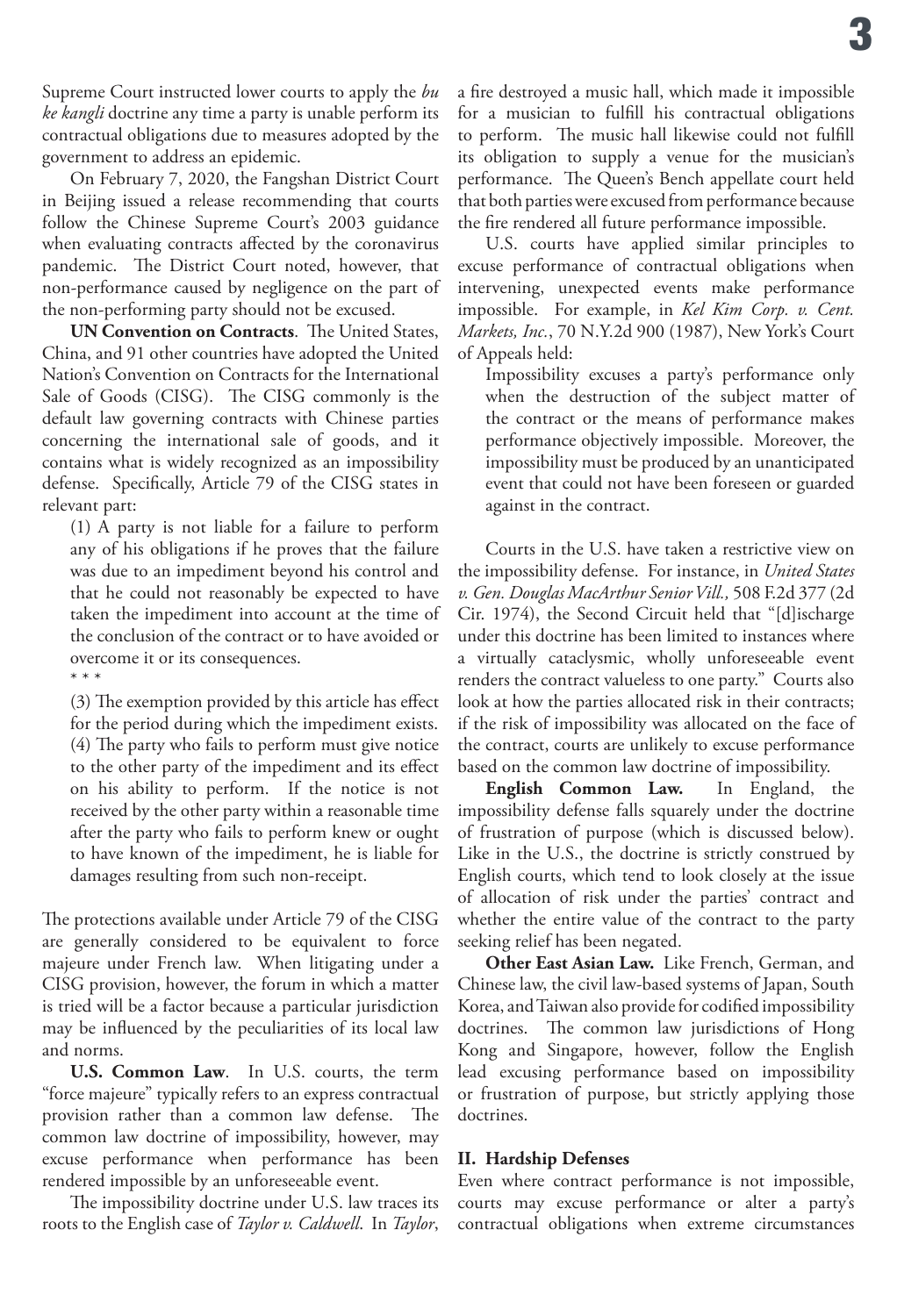Supreme Court instructed lower courts to apply the *bu ke kangli* doctrine any time a party is unable perform its contractual obligations due to measures adopted by the government to address an epidemic.

On February 7, 2020, the Fangshan District Court in Beijing issued a release recommending that courts follow the Chinese Supreme Court's 2003 guidance when evaluating contracts affected by the coronavirus pandemic. The District Court noted, however, that non-performance caused by negligence on the part of the non-performing party should not be excused.

**UN Convention on Contracts**. The United States, China, and 91 other countries have adopted the United Nation's Convention on Contracts for the International Sale of Goods (CISG). The CISG commonly is the default law governing contracts with Chinese parties concerning the international sale of goods, and it contains what is widely recognized as an impossibility defense. Specifically, Article 79 of the CISG states in relevant part:

(1) A party is not liable for a failure to perform any of his obligations if he proves that the failure was due to an impediment beyond his control and that he could not reasonably be expected to have taken the impediment into account at the time of the conclusion of the contract or to have avoided or overcome it or its consequences.

\* \* \*

(3) The exemption provided by this article has effect for the period during which the impediment exists. (4) The party who fails to perform must give notice to the other party of the impediment and its effect on his ability to perform. If the notice is not received by the other party within a reasonable time after the party who fails to perform knew or ought to have known of the impediment, he is liable for damages resulting from such non-receipt.

The protections available under Article 79 of the CISG are generally considered to be equivalent to force majeure under French law. When litigating under a CISG provision, however, the forum in which a matter is tried will be a factor because a particular jurisdiction may be influenced by the peculiarities of its local law and norms.

**U.S. Common Law**. In U.S. courts, the term "force majeure" typically refers to an express contractual provision rather than a common law defense. The common law doctrine of impossibility, however, may excuse performance when performance has been rendered impossible by an unforeseeable event.

The impossibility doctrine under U.S. law traces its roots to the English case of *Taylor v. Caldwell*. In *Taylor*,

a fire destroyed a music hall, which made it impossible for a musician to fulfill his contractual obligations to perform. The music hall likewise could not fulfill its obligation to supply a venue for the musician's performance. The Queen's Bench appellate court held that both parties were excused from performance because the fire rendered all future performance impossible.

U.S. courts have applied similar principles to excuse performance of contractual obligations when intervening, unexpected events make performance impossible. For example, in *Kel Kim Corp. v. Cent. Markets, Inc.*, 70 N.Y.2d 900 (1987), New York's Court of Appeals held:

Impossibility excuses a party's performance only when the destruction of the subject matter of the contract or the means of performance makes performance objectively impossible. Moreover, the impossibility must be produced by an unanticipated event that could not have been foreseen or guarded against in the contract.

Courts in the U.S. have taken a restrictive view on the impossibility defense. For instance, in *United States v. Gen. Douglas MacArthur Senior Vill.,* 508 F.2d 377 (2d Cir. 1974), the Second Circuit held that "[d]ischarge under this doctrine has been limited to instances where a virtually cataclysmic, wholly unforeseeable event renders the contract valueless to one party." Courts also look at how the parties allocated risk in their contracts; if the risk of impossibility was allocated on the face of the contract, courts are unlikely to excuse performance based on the common law doctrine of impossibility.

**English Common Law.** In England, the impossibility defense falls squarely under the doctrine of frustration of purpose (which is discussed below). Like in the U.S., the doctrine is strictly construed by English courts, which tend to look closely at the issue of allocation of risk under the parties' contract and whether the entire value of the contract to the party seeking relief has been negated.

**Other East Asian Law.** Like French, German, and Chinese law, the civil law-based systems of Japan, South Korea, and Taiwan also provide for codified impossibility doctrines. The common law jurisdictions of Hong Kong and Singapore, however, follow the English lead excusing performance based on impossibility or frustration of purpose, but strictly applying those doctrines.

#### **II. Hardship Defenses**

Even where contract performance is not impossible, courts may excuse performance or alter a party's contractual obligations when extreme circumstances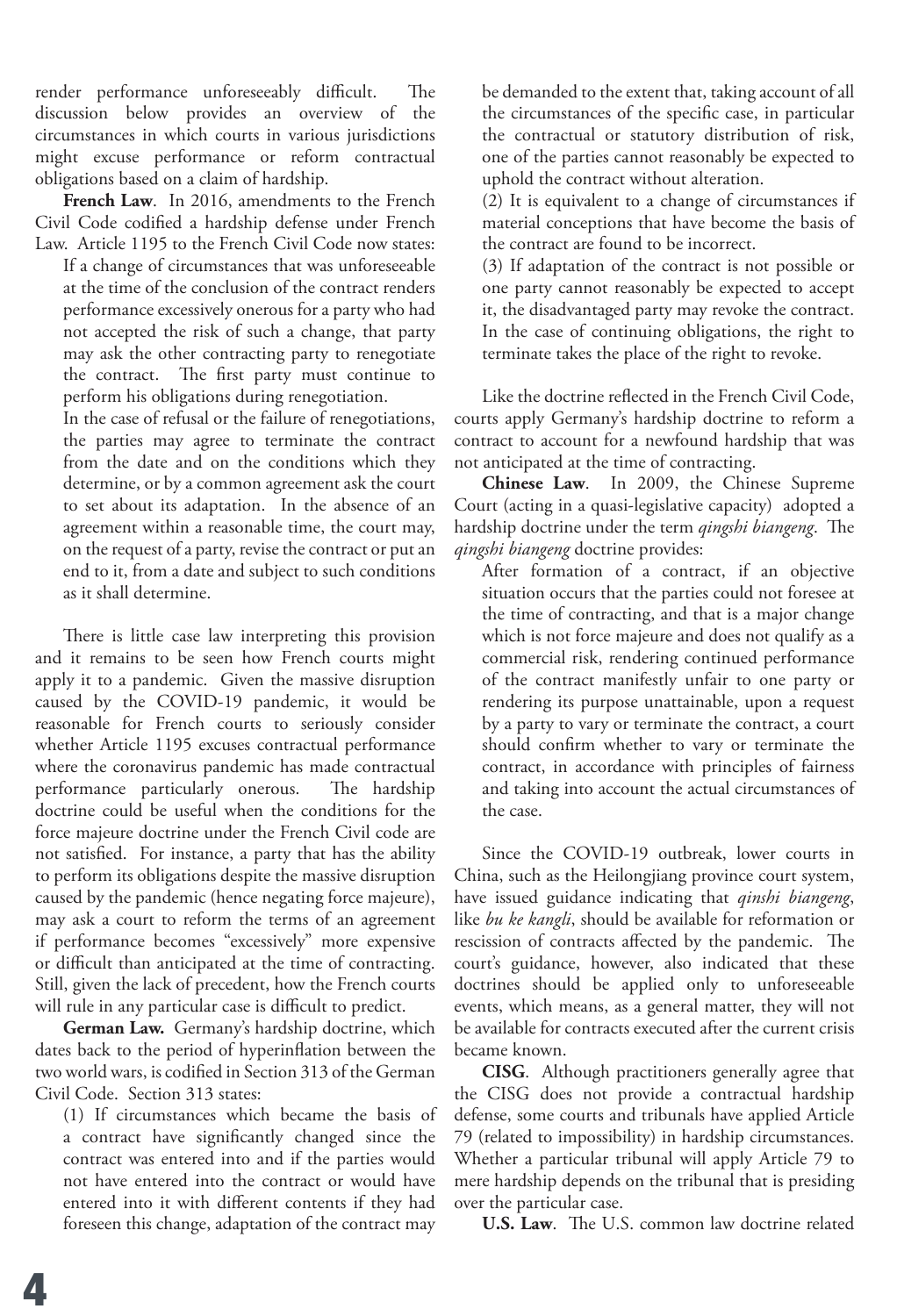render performance unforeseeably difficult. The discussion below provides an overview of the circumstances in which courts in various jurisdictions might excuse performance or reform contractual obligations based on a claim of hardship.

**French Law**. In 2016, amendments to the French Civil Code codified a hardship defense under French Law. Article 1195 to the French Civil Code now states:

If a change of circumstances that was unforeseeable at the time of the conclusion of the contract renders performance excessively onerous for a party who had not accepted the risk of such a change, that party may ask the other contracting party to renegotiate the contract. The first party must continue to perform his obligations during renegotiation.

In the case of refusal or the failure of renegotiations, the parties may agree to terminate the contract from the date and on the conditions which they determine, or by a common agreement ask the court to set about its adaptation. In the absence of an agreement within a reasonable time, the court may, on the request of a party, revise the contract or put an end to it, from a date and subject to such conditions as it shall determine.

There is little case law interpreting this provision and it remains to be seen how French courts might apply it to a pandemic. Given the massive disruption caused by the COVID-19 pandemic, it would be reasonable for French courts to seriously consider whether Article 1195 excuses contractual performance where the coronavirus pandemic has made contractual performance particularly onerous. The hardship doctrine could be useful when the conditions for the force majeure doctrine under the French Civil code are not satisfied. For instance, a party that has the ability to perform its obligations despite the massive disruption caused by the pandemic (hence negating force majeure), may ask a court to reform the terms of an agreement if performance becomes "excessively" more expensive or difficult than anticipated at the time of contracting. Still, given the lack of precedent, how the French courts will rule in any particular case is difficult to predict.

**German Law.** Germany's hardship doctrine, which dates back to the period of hyperinflation between the two world wars, is codified in Section 313 of the German Civil Code. Section 313 states:

(1) If circumstances which became the basis of a contract have significantly changed since the contract was entered into and if the parties would not have entered into the contract or would have entered into it with different contents if they had foreseen this change, adaptation of the contract may

be demanded to the extent that, taking account of all the circumstances of the specific case, in particular the contractual or statutory distribution of risk, one of the parties cannot reasonably be expected to uphold the contract without alteration.

(2) It is equivalent to a change of circumstances if material conceptions that have become the basis of the contract are found to be incorrect.

(3) If adaptation of the contract is not possible or one party cannot reasonably be expected to accept it, the disadvantaged party may revoke the contract. In the case of continuing obligations, the right to terminate takes the place of the right to revoke.

Like the doctrine reflected in the French Civil Code, courts apply Germany's hardship doctrine to reform a contract to account for a newfound hardship that was not anticipated at the time of contracting.

**Chinese Law**. In 2009, the Chinese Supreme Court (acting in a quasi-legislative capacity) adopted a hardship doctrine under the term *qingshi biangeng*. The *qingshi biangeng* doctrine provides:

After formation of a contract, if an objective situation occurs that the parties could not foresee at the time of contracting, and that is a major change which is not force majeure and does not qualify as a commercial risk, rendering continued performance of the contract manifestly unfair to one party or rendering its purpose unattainable, upon a request by a party to vary or terminate the contract, a court should confirm whether to vary or terminate the contract, in accordance with principles of fairness and taking into account the actual circumstances of the case.

Since the COVID-19 outbreak, lower courts in China, such as the Heilongjiang province court system, have issued guidance indicating that *qinshi biangeng*, like *bu ke kangli*, should be available for reformation or rescission of contracts affected by the pandemic. The court's guidance, however, also indicated that these doctrines should be applied only to unforeseeable events, which means, as a general matter, they will not be available for contracts executed after the current crisis became known.

**CISG**. Although practitioners generally agree that the CISG does not provide a contractual hardship defense, some courts and tribunals have applied Article 79 (related to impossibility) in hardship circumstances. Whether a particular tribunal will apply Article 79 to mere hardship depends on the tribunal that is presiding over the particular case.

**U.S. Law**. The U.S. common law doctrine related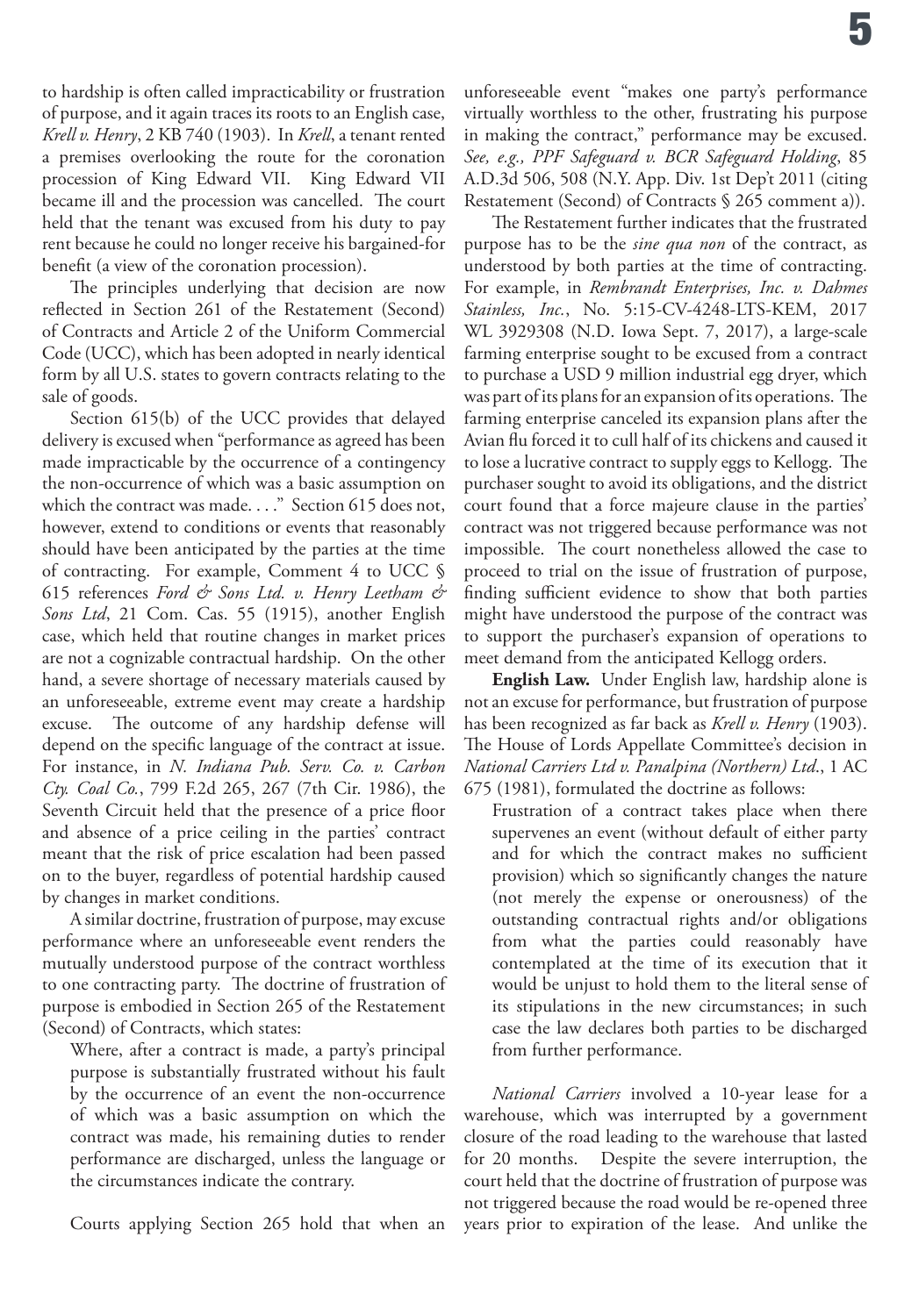to hardship is often called impracticability or frustration of purpose, and it again traces its roots to an English case, *Krell v. Henry*, 2 KB 740 (1903). In *Krell*, a tenant rented a premises overlooking the route for the coronation procession of King Edward VII. King Edward VII became ill and the procession was cancelled. The court held that the tenant was excused from his duty to pay rent because he could no longer receive his bargained-for benefit (a view of the coronation procession).

The principles underlying that decision are now reflected in Section 261 of the Restatement (Second) of Contracts and Article 2 of the Uniform Commercial Code (UCC), which has been adopted in nearly identical form by all U.S. states to govern contracts relating to the sale of goods.

Section 615(b) of the UCC provides that delayed delivery is excused when "performance as agreed has been made impracticable by the occurrence of a contingency the non-occurrence of which was a basic assumption on which the contract was made. . . ." Section 615 does not, however, extend to conditions or events that reasonably should have been anticipated by the parties at the time of contracting. For example, Comment 4 to UCC § 615 references *Ford & Sons Ltd. v. Henry Leetham & Sons Ltd*, 21 Com. Cas. 55 (1915), another English case, which held that routine changes in market prices are not a cognizable contractual hardship. On the other hand, a severe shortage of necessary materials caused by an unforeseeable, extreme event may create a hardship excuse. The outcome of any hardship defense will depend on the specific language of the contract at issue. For instance, in *N. Indiana Pub. Serv. Co. v. Carbon Cty. Coal Co.*, 799 F.2d 265, 267 (7th Cir. 1986), the Seventh Circuit held that the presence of a price floor and absence of a price ceiling in the parties' contract meant that the risk of price escalation had been passed on to the buyer, regardless of potential hardship caused by changes in market conditions.

A similar doctrine, frustration of purpose, may excuse performance where an unforeseeable event renders the mutually understood purpose of the contract worthless to one contracting party. The doctrine of frustration of purpose is embodied in Section 265 of the Restatement (Second) of Contracts, which states:

Where, after a contract is made, a party's principal purpose is substantially frustrated without his fault by the occurrence of an event the non-occurrence of which was a basic assumption on which the contract was made, his remaining duties to render performance are discharged, unless the language or the circumstances indicate the contrary.

Courts applying Section 265 hold that when an

unforeseeable event "makes one party's performance virtually worthless to the other, frustrating his purpose in making the contract," performance may be excused. *See, e.g., PPF Safeguard v. BCR Safeguard Holding*, 85 A.D.3d 506, 508 (N.Y. App. Div. 1st Dep't 2011 (citing Restatement (Second) of Contracts § 265 comment a)).

The Restatement further indicates that the frustrated purpose has to be the *sine qua non* of the contract, as understood by both parties at the time of contracting. For example, in *Rembrandt Enterprises, Inc. v. Dahmes Stainless, Inc.*, No. 5:15-CV-4248-LTS-KEM, 2017 WL 3929308 (N.D. Iowa Sept. 7, 2017), a large-scale farming enterprise sought to be excused from a contract to purchase a USD 9 million industrial egg dryer, which was part of its plans for an expansion of its operations. The farming enterprise canceled its expansion plans after the Avian flu forced it to cull half of its chickens and caused it to lose a lucrative contract to supply eggs to Kellogg. The purchaser sought to avoid its obligations, and the district court found that a force majeure clause in the parties' contract was not triggered because performance was not impossible. The court nonetheless allowed the case to proceed to trial on the issue of frustration of purpose, finding sufficient evidence to show that both parties might have understood the purpose of the contract was to support the purchaser's expansion of operations to meet demand from the anticipated Kellogg orders.

**English Law.** Under English law, hardship alone is not an excuse for performance, but frustration of purpose has been recognized as far back as *Krell v. Henry* (1903). The House of Lords Appellate Committee's decision in *National Carriers Ltd v. Panalpina (Northern) Ltd*., 1 AC 675 (1981), formulated the doctrine as follows:

Frustration of a contract takes place when there supervenes an event (without default of either party and for which the contract makes no sufficient provision) which so significantly changes the nature (not merely the expense or onerousness) of the outstanding contractual rights and/or obligations from what the parties could reasonably have contemplated at the time of its execution that it would be unjust to hold them to the literal sense of its stipulations in the new circumstances; in such case the law declares both parties to be discharged from further performance.

*National Carriers* involved a 10-year lease for a warehouse, which was interrupted by a government closure of the road leading to the warehouse that lasted for 20 months. Despite the severe interruption, the court held that the doctrine of frustration of purpose was not triggered because the road would be re-opened three years prior to expiration of the lease. And unlike the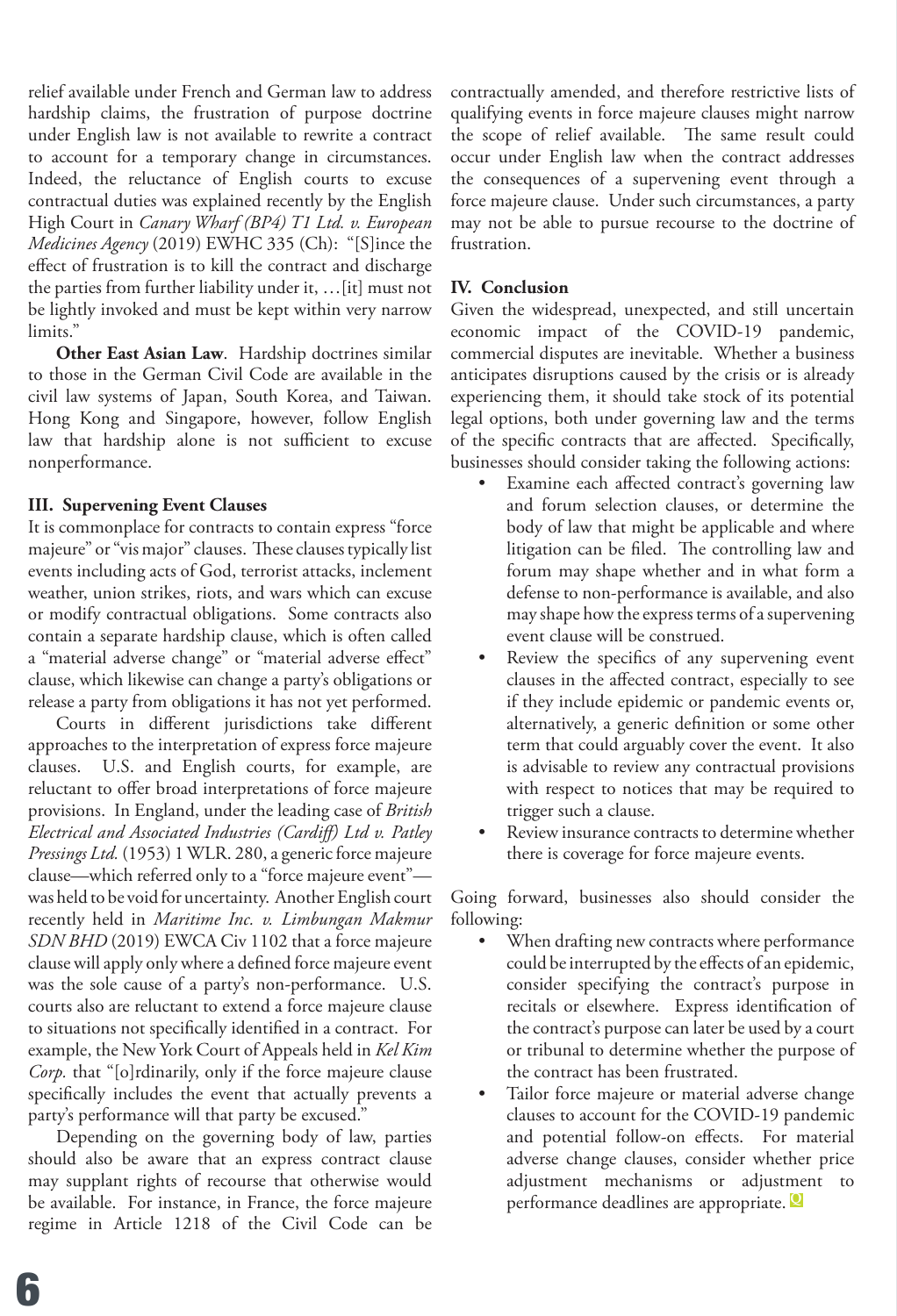relief available under French and German law to address hardship claims, the frustration of purpose doctrine under English law is not available to rewrite a contract to account for a temporary change in circumstances. Indeed, the reluctance of English courts to excuse contractual duties was explained recently by the English High Court in *Canary Wharf (BP4) T1 Ltd. v. European Medicines Agency* (2019) EWHC 335 (Ch): "[S]ince the effect of frustration is to kill the contract and discharge the parties from further liability under it, …[it] must not be lightly invoked and must be kept within very narrow limits."

**Other East Asian Law**. Hardship doctrines similar to those in the German Civil Code are available in the civil law systems of Japan, South Korea, and Taiwan. Hong Kong and Singapore, however, follow English law that hardship alone is not sufficient to excuse nonperformance.

#### **III. Supervening Event Clauses**

It is commonplace for contracts to contain express "force majeure" or "vis major" clauses. These clauses typically list events including acts of God, terrorist attacks, inclement weather, union strikes, riots, and wars which can excuse or modify contractual obligations. Some contracts also contain a separate hardship clause, which is often called a "material adverse change" or "material adverse effect" clause, which likewise can change a party's obligations or release a party from obligations it has not yet performed.

Courts in different jurisdictions take different approaches to the interpretation of express force majeure clauses. U.S. and English courts, for example, are reluctant to offer broad interpretations of force majeure provisions. In England, under the leading case of *British Electrical and Associated Industries (Cardiff) Ltd v. Patley Pressings Ltd.* (1953) 1 WLR. 280, a generic force majeure clause—which referred only to a "force majeure event" was held to be void for uncertainty. Another English court recently held in *Maritime Inc. v. Limbungan Makmur SDN BHD* (2019) EWCA Civ 1102 that a force majeure clause will apply only where a defined force majeure event was the sole cause of a party's non-performance. U.S. courts also are reluctant to extend a force majeure clause to situations not specifically identified in a contract. For example, the New York Court of Appeals held in *Kel Kim Corp.* that "[o]rdinarily, only if the force majeure clause specifically includes the event that actually prevents a party's performance will that party be excused."

Depending on the governing body of law, parties should also be aware that an express contract clause may supplant rights of recourse that otherwise would be available. For instance, in France, the force majeure regime in Article 1218 of the Civil Code can be

contractually amended, and therefore restrictive lists of qualifying events in force majeure clauses might narrow the scope of relief available. The same result could occur under English law when the contract addresses the consequences of a supervening event through a force majeure clause. Under such circumstances, a party may not be able to pursue recourse to the doctrine of frustration.

#### **IV. Conclusion**

Given the widespread, unexpected, and still uncertain economic impact of the COVID-19 pandemic, commercial disputes are inevitable. Whether a business anticipates disruptions caused by the crisis or is already experiencing them, it should take stock of its potential legal options, both under governing law and the terms of the specific contracts that are affected. Specifically, businesses should consider taking the following actions:

- Examine each affected contract's governing law and forum selection clauses, or determine the body of law that might be applicable and where litigation can be filed. The controlling law and forum may shape whether and in what form a defense to non-performance is available, and also may shape how the express terms of a supervening event clause will be construed.
- Review the specifics of any supervening event clauses in the affected contract, especially to see if they include epidemic or pandemic events or, alternatively, a generic definition or some other term that could arguably cover the event. It also is advisable to review any contractual provisions with respect to notices that may be required to trigger such a clause.
- Review insurance contracts to determine whether there is coverage for force majeure events.

Going forward, businesses also should consider the following:

- When drafting new contracts where performance could be interrupted by the effects of an epidemic, consider specifying the contract's purpose in recitals or elsewhere. Express identification of the contract's purpose can later be used by a court or tribunal to determine whether the purpose of the contract has been frustrated.
- Tailor force majeure or material adverse change clauses to account for the COVID-19 pandemic and potential follow-on effects. For material adverse change clauses, consider whether price adjustment mechanisms or adjustment to performance deadlines are appropriate. **<sup>Q</sup>**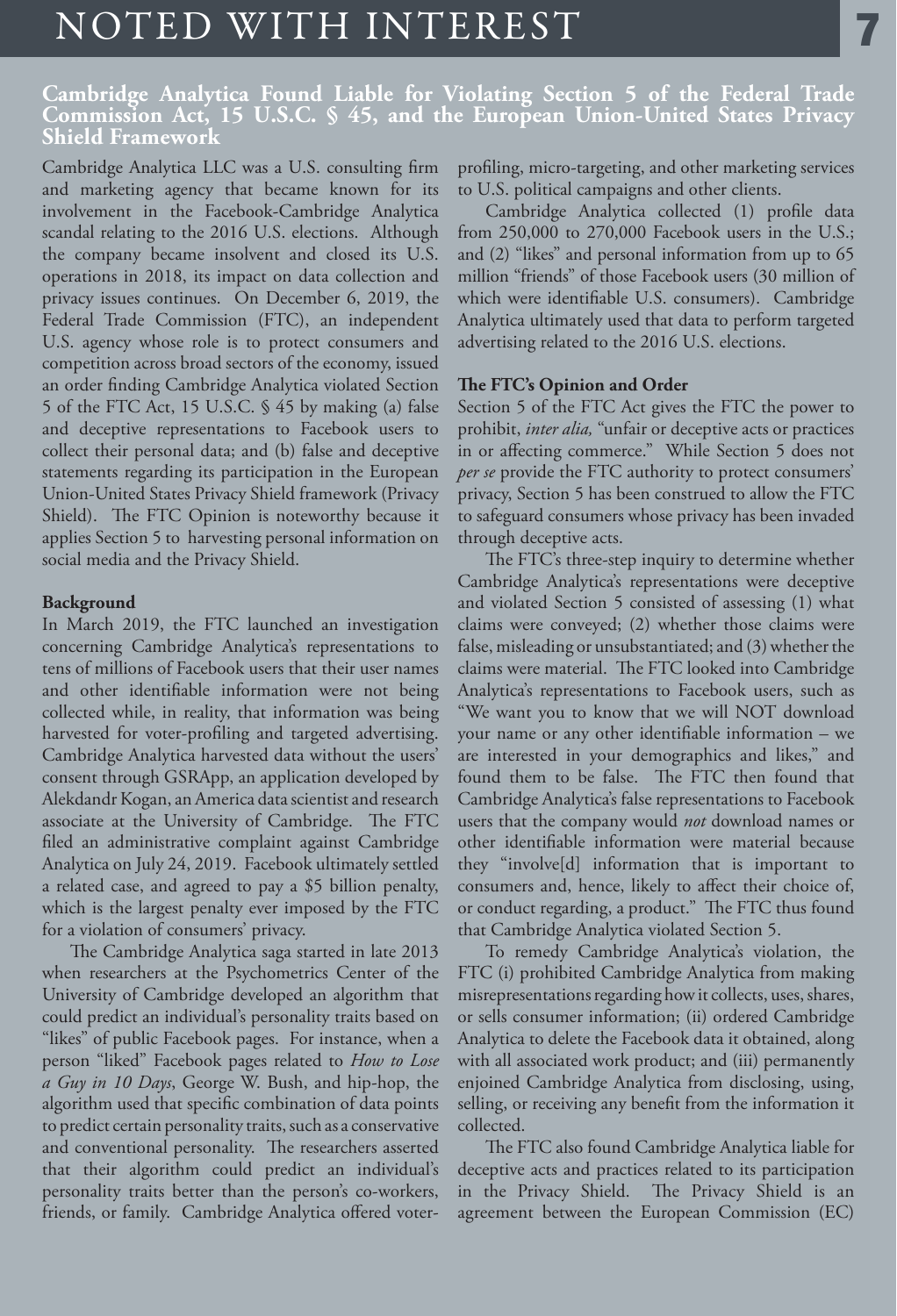## NOTED WITH INTEREST

#### **Cambridge Analytica Found Liable for Violating Section 5 of the Federal Trade Commission Act, 15 U.S.C. § 45, and the European Union-United States Privacy Shield Framework**

Cambridge Analytica LLC was a U.S. consulting firm and marketing agency that became known for its involvement in the Facebook-Cambridge Analytica scandal relating to the 2016 U.S. elections. Although the company became insolvent and closed its U.S. operations in 2018, its impact on data collection and privacy issues continues. On December 6, 2019, the Federal Trade Commission (FTC), an independent U.S. agency whose role is to protect consumers and competition across broad sectors of the economy, issued an order finding Cambridge Analytica violated Section 5 of the FTC Act, 15 U.S.C. § 45 by making (a) false and deceptive representations to Facebook users to collect their personal data; and (b) false and deceptive statements regarding its participation in the European Union-United States Privacy Shield framework (Privacy Shield). The FTC Opinion is noteworthy because it applies Section 5 to harvesting personal information on social media and the Privacy Shield.

#### **Background**

In March 2019, the FTC launched an investigation concerning Cambridge Analytica's representations to tens of millions of Facebook users that their user names and other identifiable information were not being collected while, in reality, that information was being harvested for voter-profiling and targeted advertising. Cambridge Analytica harvested data without the users' consent through GSRApp, an application developed by Alekdandr Kogan, an America data scientist and research associate at the University of Cambridge. The FTC filed an administrative complaint against Cambridge Analytica on July 24, 2019. Facebook ultimately settled a related case, and agreed to pay a \$5 billion penalty, which is the largest penalty ever imposed by the FTC for a violation of consumers' privacy.

The Cambridge Analytica saga started in late 2013 when researchers at the Psychometrics Center of the University of Cambridge developed an algorithm that could predict an individual's personality traits based on "likes" of public Facebook pages. For instance, when a person "liked" Facebook pages related to *How to Lose a Guy in 10 Days*, George W. Bush, and hip-hop, the algorithm used that specific combination of data points to predict certain personality traits, such as a conservative and conventional personality. The researchers asserted that their algorithm could predict an individual's personality traits better than the person's co-workers, friends, or family. Cambridge Analytica offered voterprofiling, micro-targeting, and other marketing services to U.S. political campaigns and other clients.

Cambridge Analytica collected (1) profile data from 250,000 to 270,000 Facebook users in the U.S.; and (2) "likes" and personal information from up to 65 million "friends" of those Facebook users (30 million of which were identifiable U.S. consumers). Cambridge Analytica ultimately used that data to perform targeted advertising related to the 2016 U.S. elections.

#### **The FTC's Opinion and Order**

Section 5 of the FTC Act gives the FTC the power to prohibit, *inter alia,* "unfair or deceptive acts or practices in or affecting commerce." While Section 5 does not *per se* provide the FTC authority to protect consumers' privacy, Section 5 has been construed to allow the FTC to safeguard consumers whose privacy has been invaded through deceptive acts.

The FTC's three-step inquiry to determine whether Cambridge Analytica's representations were deceptive and violated Section 5 consisted of assessing (1) what claims were conveyed; (2) whether those claims were false, misleading or unsubstantiated; and (3) whether the claims were material. The FTC looked into Cambridge Analytica's representations to Facebook users, such as "We want you to know that we will NOT download your name or any other identifiable information – we are interested in your demographics and likes," and found them to be false. The FTC then found that Cambridge Analytica's false representations to Facebook users that the company would *not* download names or other identifiable information were material because they "involve[d] information that is important to consumers and, hence, likely to affect their choice of, or conduct regarding, a product." The FTC thus found that Cambridge Analytica violated Section 5.

To remedy Cambridge Analytica's violation, the FTC (i) prohibited Cambridge Analytica from making misrepresentations regarding how it collects, uses, shares, or sells consumer information; (ii) ordered Cambridge Analytica to delete the Facebook data it obtained, along with all associated work product; and (iii) permanently enjoined Cambridge Analytica from disclosing, using, selling, or receiving any benefit from the information it collected.

The FTC also found Cambridge Analytica liable for deceptive acts and practices related to its participation in the Privacy Shield.The Privacy Shield is an agreement between the European Commission (EC)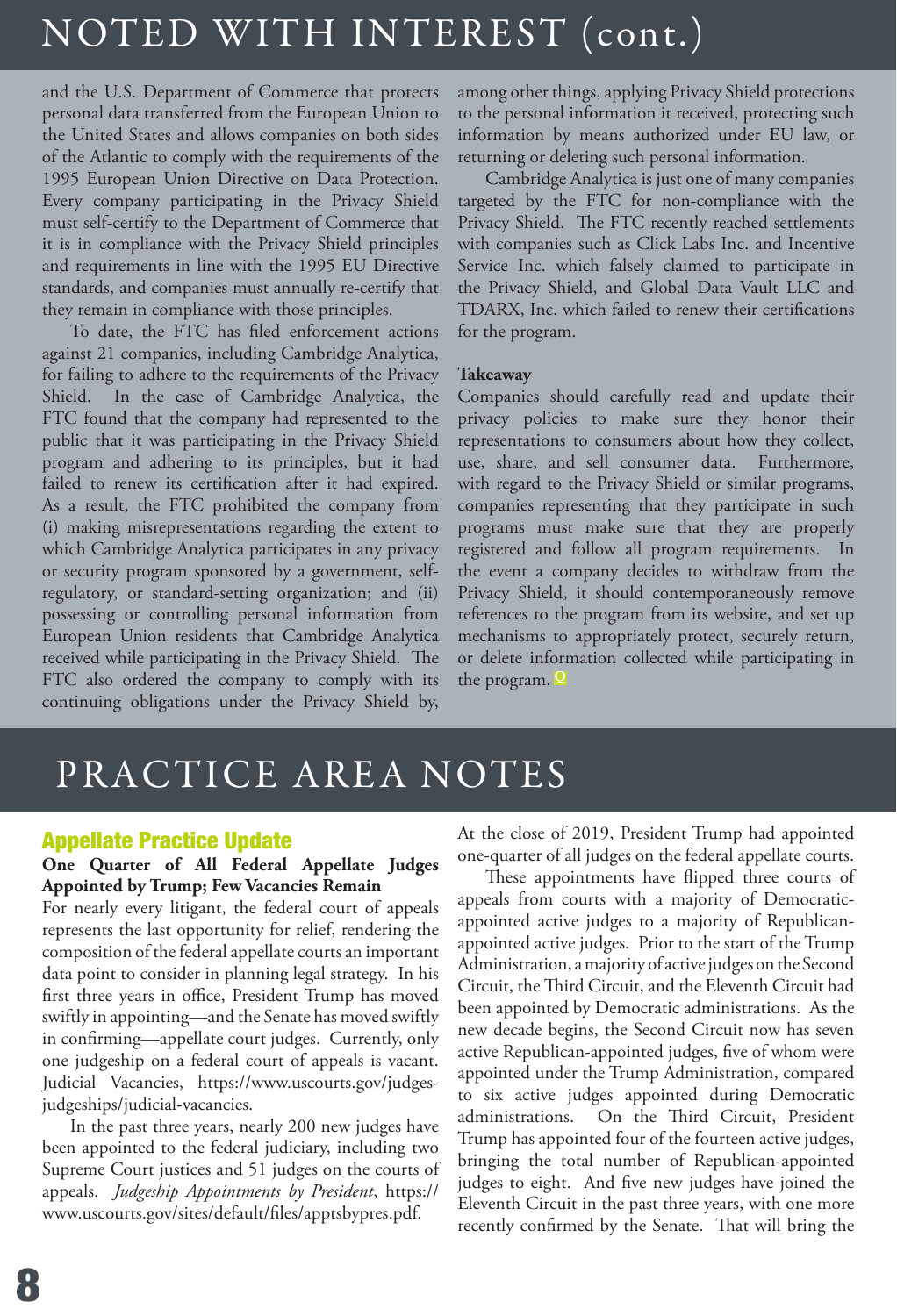# NOTED WITH INTEREST (cont.)

and the U.S. Department of Commerce that protects personal data transferred from the European Union to the United States and allows companies on both sides of the Atlantic to comply with the requirements of the 1995 European Union Directive on Data Protection. Every company participating in the Privacy Shield must self-certify to the Department of Commerce that it is in compliance with the Privacy Shield principles and requirements in line with the 1995 EU Directive standards, and companies must annually re-certify that they remain in compliance with those principles.

To date, the FTC has filed enforcement actions against 21 companies, including Cambridge Analytica, for failing to adhere to the requirements of the Privacy Shield. In the case of Cambridge Analytica, the FTC found that the company had represented to the public that it was participating in the Privacy Shield program and adhering to its principles, but it had failed to renew its certification after it had expired. As a result, the FTC prohibited the company from (i) making misrepresentations regarding the extent to which Cambridge Analytica participates in any privacy or security program sponsored by a government, selfregulatory, or standard-setting organization; and (ii) possessing or controlling personal information from European Union residents that Cambridge Analytica received while participating in the Privacy Shield. The FTC also ordered the company to comply with its continuing obligations under the Privacy Shield by,

among other things, applying Privacy Shield protections to the personal information it received, protecting such information by means authorized under EU law, or returning or deleting such personal information.

Cambridge Analytica is just one of many companies targeted by the FTC for non-compliance with the Privacy Shield. The FTC recently reached settlements with companies such as Click Labs Inc. and Incentive Service Inc. which falsely claimed to participate in the Privacy Shield, and Global Data Vault LLC and TDARX, Inc. which failed to renew their certifications for the program.

#### **Takeaway**

Companies should carefully read and update their privacy policies to make sure they honor their representations to consumers about how they collect, use, share, and sell consumer data. Furthermore, with regard to the Privacy Shield or similar programs, companies representing that they participate in such programs must make sure that they are properly registered and follow all program requirements. In the event a company decides to withdraw from the Privacy Shield, it should contemporaneously remove references to the program from its website, and set up mechanisms to appropriately protect, securely return, or delete information collected while participating in the program. **Q**

## PRACTICE AREA NOTES

#### Appellate Practice Update

#### **One Quarter of All Federal Appellate Judges Appointed by Trump; Few Vacancies Remain**

For nearly every litigant, the federal court of appeals represents the last opportunity for relief, rendering the composition of the federal appellate courts an important data point to consider in planning legal strategy. In his first three years in office, President Trump has moved swiftly in appointing—and the Senate has moved swiftly in confirming—appellate court judges. Currently, only one judgeship on a federal court of appeals is vacant. Judicial Vacancies, https://www.uscourts.gov/judgesjudgeships/judicial-vacancies.

In the past three years, nearly 200 new judges have been appointed to the federal judiciary, including two Supreme Court justices and 51 judges on the courts of appeals. *Judgeship Appointments by President*, https:// www.uscourts.gov/sites/default/files/apptsbypres.pdf.

At the close of 2019, President Trump had appointed one-quarter of all judges on the federal appellate courts.

These appointments have flipped three courts of appeals from courts with a majority of Democraticappointed active judges to a majority of Republicanappointed active judges. Prior to the start of the Trump Administration, a majority of active judges on the Second Circuit, the Third Circuit, and the Eleventh Circuit had been appointed by Democratic administrations. As the new decade begins, the Second Circuit now has seven active Republican-appointed judges, five of whom were appointed under the Trump Administration, compared to six active judges appointed during Democratic administrations. On the Third Circuit, President Trump has appointed four of the fourteen active judges, bringing the total number of Republican-appointed judges to eight. And five new judges have joined the Eleventh Circuit in the past three years, with one more recently confirmed by the Senate. That will bring the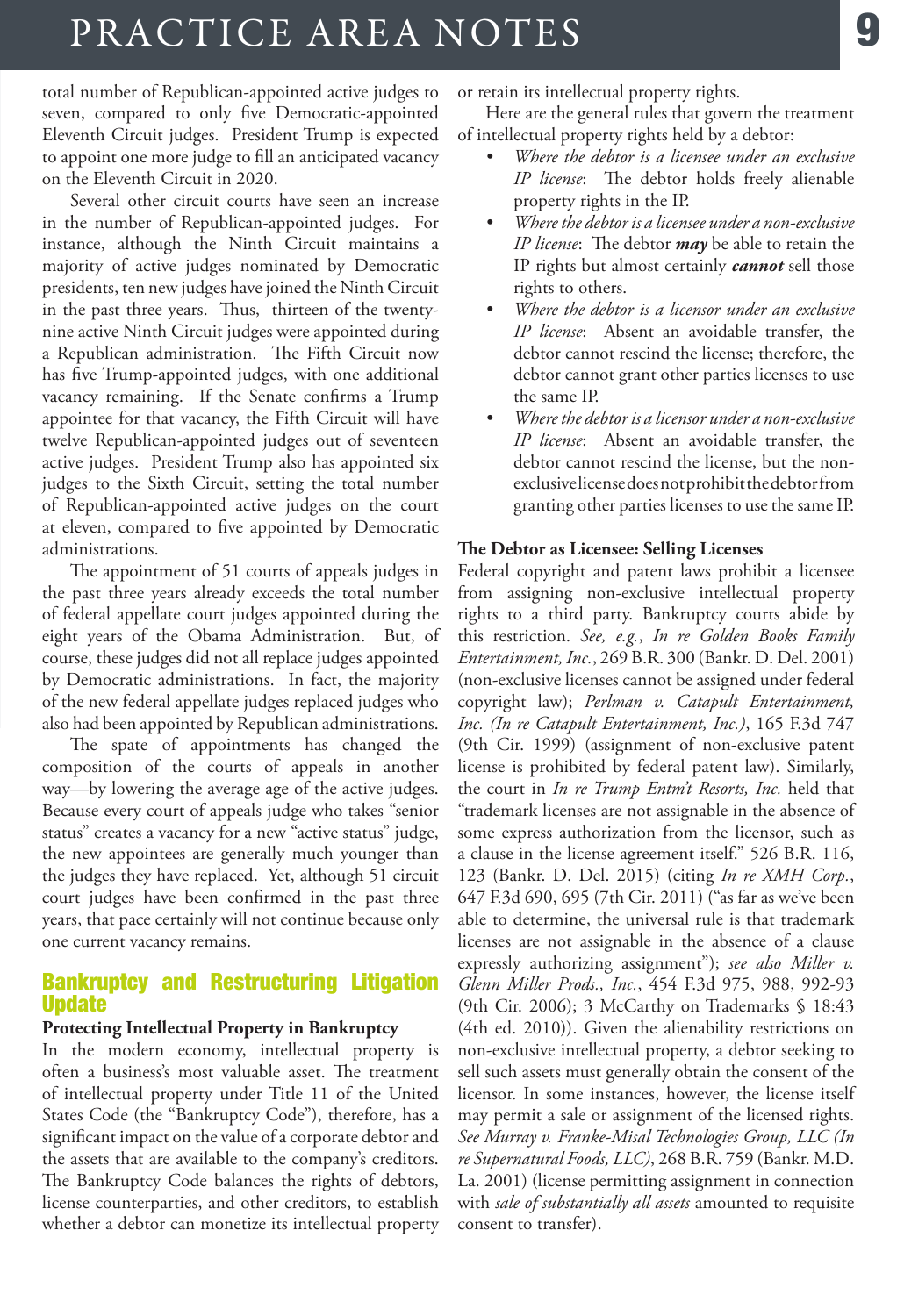## PRACTICE AREA NOTES

total number of Republican-appointed active judges to seven, compared to only five Democratic-appointed Eleventh Circuit judges. President Trump is expected to appoint one more judge to fill an anticipated vacancy on the Eleventh Circuit in 2020.

Several other circuit courts have seen an increase in the number of Republican-appointed judges. For instance, although the Ninth Circuit maintains a majority of active judges nominated by Democratic presidents, ten new judges have joined the Ninth Circuit in the past three years. Thus, thirteen of the twentynine active Ninth Circuit judges were appointed during a Republican administration. The Fifth Circuit now has five Trump-appointed judges, with one additional vacancy remaining. If the Senate confirms a Trump appointee for that vacancy, the Fifth Circuit will have twelve Republican-appointed judges out of seventeen active judges. President Trump also has appointed six judges to the Sixth Circuit, setting the total number of Republican-appointed active judges on the court at eleven, compared to five appointed by Democratic administrations.

The appointment of 51 courts of appeals judges in the past three years already exceeds the total number of federal appellate court judges appointed during the eight years of the Obama Administration. But, of course, these judges did not all replace judges appointed by Democratic administrations. In fact, the majority of the new federal appellate judges replaced judges who also had been appointed by Republican administrations.

The spate of appointments has changed the composition of the courts of appeals in another way—by lowering the average age of the active judges. Because every court of appeals judge who takes "senior status" creates a vacancy for a new "active status" judge, the new appointees are generally much younger than the judges they have replaced. Yet, although 51 circuit court judges have been confirmed in the past three years, that pace certainly will not continue because only one current vacancy remains.

#### Bankruptcy and Restructuring Litigation Update

#### **Protecting Intellectual Property in Bankruptcy**

In the modern economy, intellectual property is often a business's most valuable asset. The treatment of intellectual property under Title 11 of the United States Code (the "Bankruptcy Code"), therefore, has a significant impact on the value of a corporate debtor and the assets that are available to the company's creditors. The Bankruptcy Code balances the rights of debtors, license counterparties, and other creditors, to establish whether a debtor can monetize its intellectual property or retain its intellectual property rights.

Here are the general rules that govern the treatment of intellectual property rights held by a debtor:

- *• Where the debtor is a licensee under an exclusive IP license*: The debtor holds freely alienable property rights in the IP.
- *• Where the debtor is a licensee under a non-exclusive IP license*: The debtor *may* be able to retain the IP rights but almost certainly *cannot* sell those rights to others.
- *• Where the debtor is a licensor under an exclusive IP license*: Absent an avoidable transfer, the debtor cannot rescind the license; therefore, the debtor cannot grant other parties licenses to use the same IP.
- *• Where the debtor is a licensor under a non-exclusive IP license*: Absent an avoidable transfer, the debtor cannot rescind the license, but the nonexclusive license does not prohibit the debtor from granting other parties licenses to use the same IP.

#### **The Debtor as Licensee: Selling Licenses**

Federal copyright and patent laws prohibit a licensee from assigning non-exclusive intellectual property rights to a third party. Bankruptcy courts abide by this restriction. *See, e.g.*, *In re Golden Books Family Entertainment, Inc.*, 269 B.R. 300 (Bankr. D. Del. 2001) (non-exclusive licenses cannot be assigned under federal copyright law); *Perlman v. Catapult Entertainment, Inc. (In re Catapult Entertainment, Inc.)*, 165 F.3d 747 (9th Cir. 1999) (assignment of non-exclusive patent license is prohibited by federal patent law). Similarly, the court in *In re Trump Entm't Resorts, Inc.* held that "trademark licenses are not assignable in the absence of some express authorization from the licensor, such as a clause in the license agreement itself." 526 B.R. 116, 123 (Bankr. D. Del. 2015) (citing *In re XMH Corp.*, 647 F.3d 690, 695 (7th Cir. 2011) ("as far as we've been able to determine, the universal rule is that trademark licenses are not assignable in the absence of a clause expressly authorizing assignment"); *see also Miller v. Glenn Miller Prods., Inc.*, 454 F.3d 975, 988, 992-93 (9th Cir. 2006); 3 McCarthy on Trademarks § 18:43 (4th ed. 2010)). Given the alienability restrictions on non-exclusive intellectual property, a debtor seeking to sell such assets must generally obtain the consent of the licensor. In some instances, however, the license itself may permit a sale or assignment of the licensed rights. *See Murray v. Franke-Misal Technologies Group, LLC (In re Supernatural Foods, LLC)*, 268 B.R. 759 (Bankr. M.D. La. 2001) (license permitting assignment in connection with *sale of substantially all assets* amounted to requisite consent to transfer).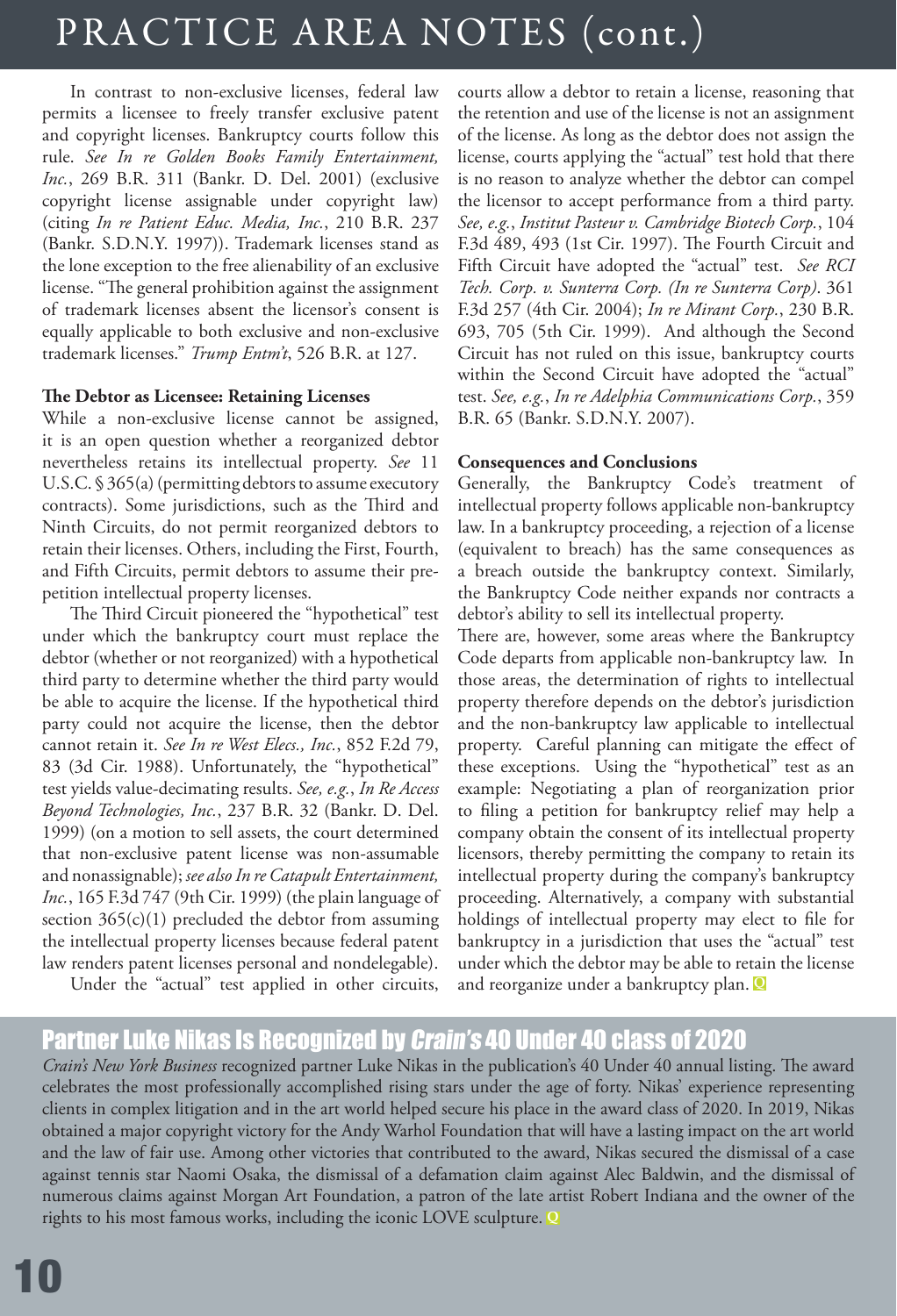# PRACTICE AREA NOTES (cont.)

In contrast to non-exclusive licenses, federal law permits a licensee to freely transfer exclusive patent and copyright licenses. Bankruptcy courts follow this rule. *See In re Golden Books Family Entertainment, Inc.*, 269 B.R. 311 (Bankr. D. Del. 2001) (exclusive copyright license assignable under copyright law) (citing *In re Patient Educ. Media, Inc.*, 210 B.R. 237 (Bankr. S.D.N.Y. 1997)). Trademark licenses stand as the lone exception to the free alienability of an exclusive license. "The general prohibition against the assignment of trademark licenses absent the licensor's consent is equally applicable to both exclusive and non-exclusive trademark licenses." *Trump Entm't*, 526 B.R. at 127.

#### **The Debtor as Licensee: Retaining Licenses**

While a non-exclusive license cannot be assigned, it is an open question whether a reorganized debtor nevertheless retains its intellectual property. *See* 11 U.S.C. § 365(a) (permitting debtors to assume executory contracts). Some jurisdictions, such as the Third and Ninth Circuits, do not permit reorganized debtors to retain their licenses. Others, including the First, Fourth, and Fifth Circuits, permit debtors to assume their prepetition intellectual property licenses.

The Third Circuit pioneered the "hypothetical" test under which the bankruptcy court must replace the debtor (whether or not reorganized) with a hypothetical third party to determine whether the third party would be able to acquire the license. If the hypothetical third party could not acquire the license, then the debtor cannot retain it. *See In re West Elecs., Inc.*, 852 F.2d 79, 83 (3d Cir. 1988). Unfortunately, the "hypothetical" test yields value-decimating results. *See, e.g.*, *In Re Access Beyond Technologies, Inc.*, 237 B.R. 32 (Bankr. D. Del. 1999) (on a motion to sell assets, the court determined that non-exclusive patent license was non-assumable and nonassignable); *see also In re Catapult Entertainment, Inc.*, 165 F.3d 747 (9th Cir. 1999) (the plain language of section  $365(c)(1)$  precluded the debtor from assuming the intellectual property licenses because federal patent law renders patent licenses personal and nondelegable).

Under the "actual" test applied in other circuits,

courts allow a debtor to retain a license, reasoning that the retention and use of the license is not an assignment of the license. As long as the debtor does not assign the license, courts applying the "actual" test hold that there is no reason to analyze whether the debtor can compel the licensor to accept performance from a third party. *See, e.g.*, *Institut Pasteur v. Cambridge Biotech Corp.*, 104 F.3d 489, 493 (1st Cir. 1997). The Fourth Circuit and Fifth Circuit have adopted the "actual" test. *See RCI Tech. Corp. v. Sunterra Corp. (In re Sunterra Corp)*. 361 F.3d 257 (4th Cir. 2004); *In re Mirant Corp.*, 230 B.R. 693, 705 (5th Cir. 1999). And although the Second Circuit has not ruled on this issue, bankruptcy courts within the Second Circuit have adopted the "actual" test. *See, e.g.*, *In re Adelphia Communications Corp.*, 359 B.R. 65 (Bankr. S.D.N.Y. 2007).

#### **Consequences and Conclusions**

Generally, the Bankruptcy Code's treatment of intellectual property follows applicable non-bankruptcy law. In a bankruptcy proceeding, a rejection of a license (equivalent to breach) has the same consequences as a breach outside the bankruptcy context. Similarly, the Bankruptcy Code neither expands nor contracts a debtor's ability to sell its intellectual property.

There are, however, some areas where the Bankruptcy Code departs from applicable non-bankruptcy law. In those areas, the determination of rights to intellectual property therefore depends on the debtor's jurisdiction and the non-bankruptcy law applicable to intellectual property. Careful planning can mitigate the effect of these exceptions. Using the "hypothetical" test as an example: Negotiating a plan of reorganization prior to filing a petition for bankruptcy relief may help a company obtain the consent of its intellectual property licensors, thereby permitting the company to retain its intellectual property during the company's bankruptcy proceeding. Alternatively, a company with substantial holdings of intellectual property may elect to file for bankruptcy in a jurisdiction that uses the "actual" test under which the debtor may be able to retain the license and reorganize under a bankruptcy plan. **Q**

### Partner Luke Nikas Is Recognized by Crain's 40 Under 40 class of 2020

*Crain's New York Business* recognized partner Luke Nikas in the publication's 40 Under 40 annual listing. The award celebrates the most professionally accomplished rising stars under the age of forty. Nikas' experience representing clients in complex litigation and in the art world helped secure his place in the award class of 2020. In 2019, Nikas obtained a major copyright victory for the Andy Warhol Foundation that will have a lasting impact on the art world and the law of fair use. Among other victories that contributed to the award, Nikas secured the dismissal of a case against tennis star Naomi Osaka, the dismissal of a defamation claim against Alec Baldwin, and the dismissal of numerous claims against Morgan Art Foundation, a patron of the late artist Robert Indiana and the owner of the rights to his most famous works, including the iconic LOVE sculpture. **Q**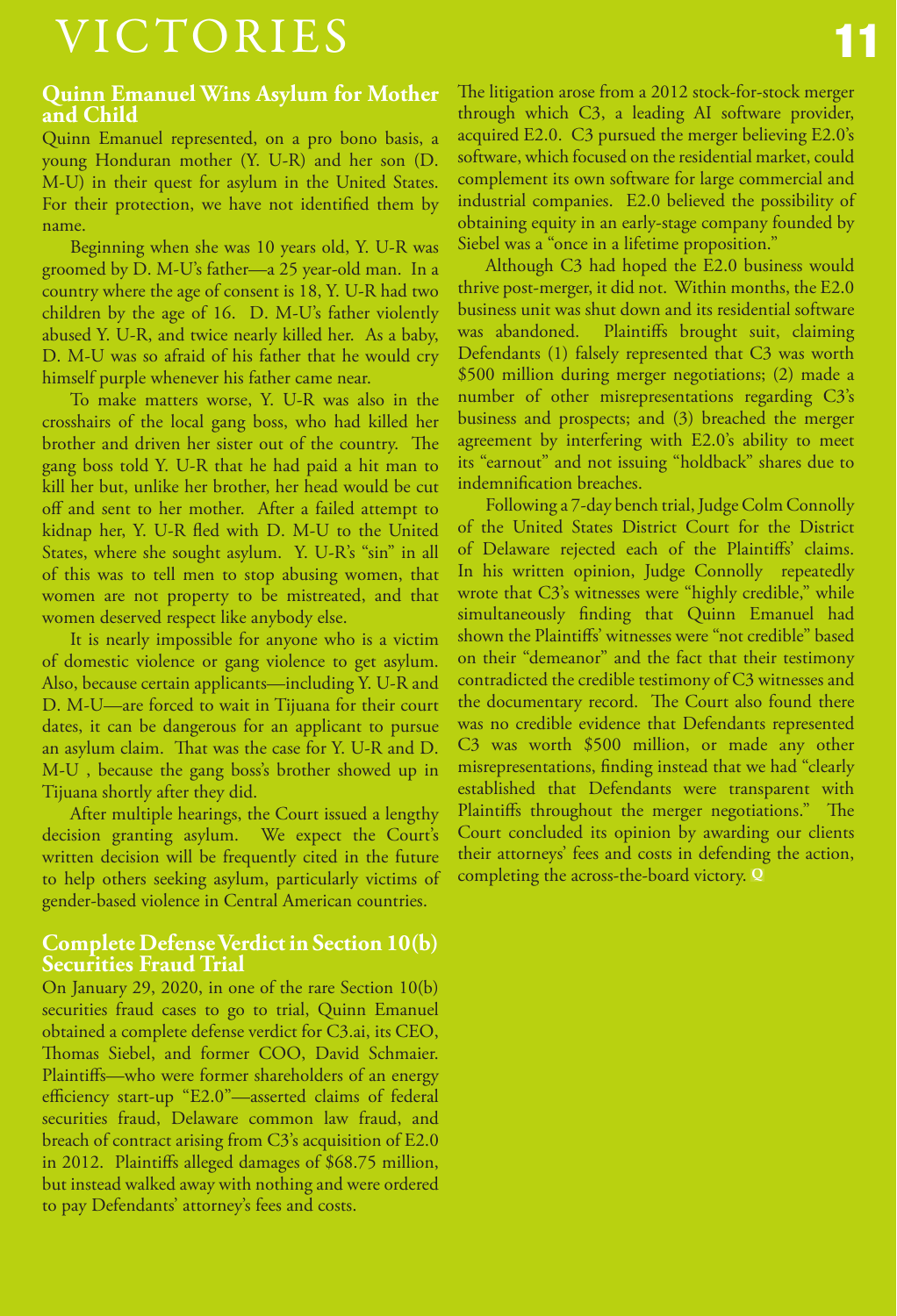# VICTORIES

#### **Quinn Emanuel Wins Asylum for Mother and Child**

Quinn Emanuel represented, on a pro bono basis, a young Honduran mother (Y. U-R) and her son (D. M-U) in their quest for asylum in the United States. For their protection, we have not identified them by name.

Beginning when she was 10 years old, Y. U-R was groomed by D. M-U's father—a 25 year-old man. In a country where the age of consent is 18, Y. U-R had two children by the age of 16. D. M-U's father violently abused Y. U-R, and twice nearly killed her. As a baby, D. M-U was so afraid of his father that he would cry himself purple whenever his father came near.

To make matters worse, Y. U-R was also in the crosshairs of the local gang boss, who had killed her brother and driven her sister out of the country. The gang boss told Y. U-R that he had paid a hit man to kill her but, unlike her brother, her head would be cut off and sent to her mother. After a failed attempt to kidnap her, Y. U-R fled with D. M-U to the United States, where she sought asylum. Y. U-R's "sin" in all of this was to tell men to stop abusing women, that women are not property to be mistreated, and that women deserved respect like anybody else.

It is nearly impossible for anyone who is a victim of domestic violence or gang violence to get asylum. Also, because certain applicants—including Y. U-R and D. M-U—are forced to wait in Tijuana for their court dates, it can be dangerous for an applicant to pursue an asylum claim. That was the case for Y. U-R and D. M-U , because the gang boss's brother showed up in Tijuana shortly after they did.

After multiple hearings, the Court issued a lengthy decision granting asylum. We expect the Court's written decision will be frequently cited in the future to help others seeking asylum, particularly victims of gender-based violence in Central American countries.

#### **Complete Defense Verdict in Section 10(b) Securities Fraud Trial**

On January 29, 2020, in one of the rare Section 10(b) securities fraud cases to go to trial, Quinn Emanuel obtained a complete defense verdict for C3.ai, its CEO, Thomas Siebel, and former COO, David Schmaier. Plaintiffs—who were former shareholders of an energy efficiency start-up "E2.0"—asserted claims of federal securities fraud, Delaware common law fraud, and breach of contract arising from C3's acquisition of E2.0 in 2012. Plaintiffs alleged damages of \$68.75 million, but instead walked away with nothing and were ordered to pay Defendants' attorney's fees and costs.

The litigation arose from a 2012 stock-for-stock merger through which C3, a leading AI software provider, acquired E2.0. C3 pursued the merger believing E2.0's software, which focused on the residential market, could complement its own software for large commercial and industrial companies. E2.0 believed the possibility of obtaining equity in an early-stage company founded by Siebel was a "once in a lifetime proposition."

Although C3 had hoped the E2.0 business would thrive post-merger, it did not. Within months, the E2.0 business unit was shut down and its residential software was abandoned. Plaintiffs brought suit, claiming Defendants (1) falsely represented that C3 was worth \$500 million during merger negotiations; (2) made a number of other misrepresentations regarding C3's business and prospects; and (3) breached the merger agreement by interfering with E2.0's ability to meet its "earnout" and not issuing "holdback" shares due to indemnification breaches.

Following a 7-day bench trial, Judge Colm Connolly of the United States District Court for the District of Delaware rejected each of the Plaintiffs' claims. In his written opinion, Judge Connolly repeatedly wrote that C3's witnesses were "highly credible," while simultaneously finding that Quinn Emanuel had shown the Plaintiffs' witnesses were "not credible" based on their "demeanor" and the fact that their testimony contradicted the credible testimony of C3 witnesses and the documentary record. The Court also found there was no credible evidence that Defendants represented C3 was worth \$500 million, or made any other misrepresentations, finding instead that we had "clearly established that Defendants were transparent with Plaintiffs throughout the merger negotiations." The Court concluded its opinion by awarding our clients their attorneys' fees and costs in defending the action, completing the across-the-board victory. **Q**